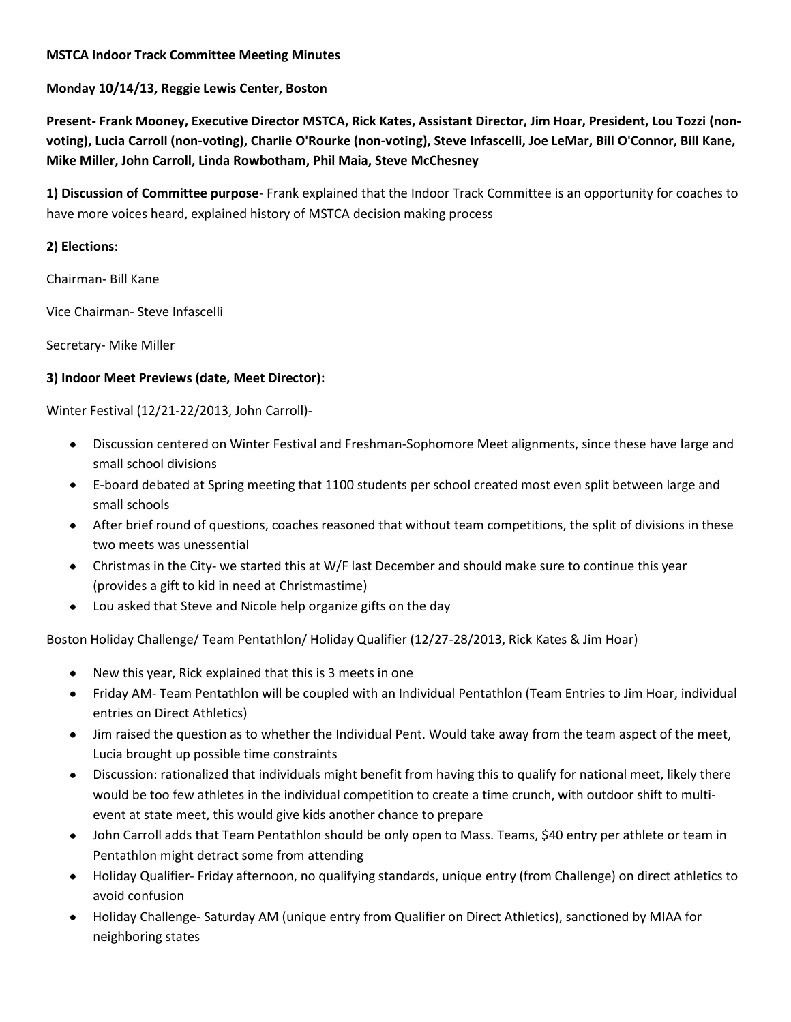#### **MSTCA Indoor Track Committee Meeting Minutes**

## **Monday 10/14/13, Reggie Lewis Center, Boston**

**Present- Frank Mooney, Executive Director MSTCA, Rick Kates, Assistant Director, Jim Hoar, President, Lou Tozzi (nonvoting), Lucia Carroll (non-voting), Charlie O'Rourke (non-voting), Steve Infascelli, Joe LeMar, Bill O'Connor, Bill Kane, Mike Miller, John Carroll, Linda Rowbotham, Phil Maia, Steve McChesney**

**1) Discussion of Committee purpose**- Frank explained that the Indoor Track Committee is an opportunity for coaches to have more voices heard, explained history of MSTCA decision making process

## **2) Elections:**

Chairman- Bill Kane

Vice Chairman- Steve Infascelli

Secretary- Mike Miller

### **3) Indoor Meet Previews (date, Meet Director):**

Winter Festival (12/21-22/2013, John Carroll)-

- $\bullet$ Discussion centered on Winter Festival and Freshman-Sophomore Meet alignments, since these have large and small school divisions
- E-board debated at Spring meeting that 1100 students per school created most even split between large and small schools
- After brief round of questions, coaches reasoned that without team competitions, the split of divisions in these two meets was unessential
- Christmas in the City- we started this at W/F last December and should make sure to continue this year (provides a gift to kid in need at Christmastime)
- Lou asked that Steve and Nicole help organize gifts on the day  $\bullet$

Boston Holiday Challenge/ Team Pentathlon/ Holiday Qualifier (12/27-28/2013, Rick Kates & Jim Hoar)

- New this year, Rick explained that this is 3 meets in one
- Friday AM- Team Pentathlon will be coupled with an Individual Pentathlon (Team Entries to Jim Hoar, individual entries on Direct Athletics)
- Jim raised the question as to whether the Individual Pent. Would take away from the team aspect of the meet, Lucia brought up possible time constraints
- Discussion: rationalized that individuals might benefit from having this to qualify for national meet, likely there would be too few athletes in the individual competition to create a time crunch, with outdoor shift to multievent at state meet, this would give kids another chance to prepare
- John Carroll adds that Team Pentathlon should be only open to Mass. Teams, \$40 entry per athlete or team in Pentathlon might detract some from attending
- Holiday Qualifier- Friday afternoon, no qualifying standards, unique entry (from Challenge) on direct athletics to avoid confusion
- Holiday Challenge- Saturday AM (unique entry from Qualifier on Direct Athletics), sanctioned by MIAA for neighboring states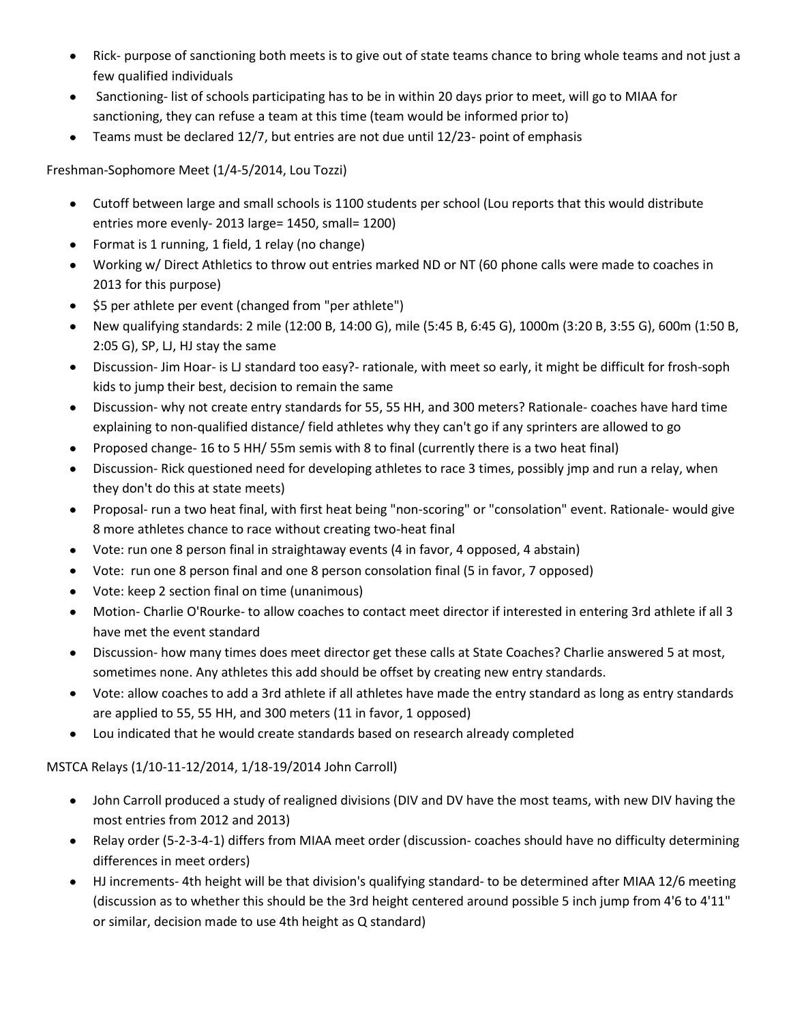- Rick- purpose of sanctioning both meets is to give out of state teams chance to bring whole teams and not just a few qualified individuals
- Sanctioning- list of schools participating has to be in within 20 days prior to meet, will go to MIAA for sanctioning, they can refuse a team at this time (team would be informed prior to)
- Teams must be declared 12/7, but entries are not due until 12/23- point of emphasis  $\bullet$

Freshman-Sophomore Meet (1/4-5/2014, Lou Tozzi)

- Cutoff between large and small schools is 1100 students per school (Lou reports that this would distribute  $\bullet$ entries more evenly- 2013 large= 1450, small= 1200)
- Format is 1 running, 1 field, 1 relay (no change)
- Working w/ Direct Athletics to throw out entries marked ND or NT (60 phone calls were made to coaches in 2013 for this purpose)
- \$5 per athlete per event (changed from "per athlete")
- New qualifying standards: 2 mile (12:00 B, 14:00 G), mile (5:45 B, 6:45 G), 1000m (3:20 B, 3:55 G), 600m (1:50 B, 2:05 G), SP, LJ, HJ stay the same
- Discussion- Jim Hoar- is LJ standard too easy?- rationale, with meet so early, it might be difficult for frosh-soph kids to jump their best, decision to remain the same
- Discussion- why not create entry standards for 55, 55 HH, and 300 meters? Rationale- coaches have hard time  $\bullet$ explaining to non-qualified distance/ field athletes why they can't go if any sprinters are allowed to go
- Proposed change- 16 to 5 HH/ 55m semis with 8 to final (currently there is a two heat final)
- Discussion- Rick questioned need for developing athletes to race 3 times, possibly jmp and run a relay, when  $\bullet$ they don't do this at state meets)
- Proposal- run a two heat final, with first heat being "non-scoring" or "consolation" event. Rationale- would give  $\bullet$ 8 more athletes chance to race without creating two-heat final
- Vote: run one 8 person final in straightaway events (4 in favor, 4 opposed, 4 abstain)
- Vote: run one 8 person final and one 8 person consolation final (5 in favor, 7 opposed)
- Vote: keep 2 section final on time (unanimous)
- Motion- Charlie O'Rourke- to allow coaches to contact meet director if interested in entering 3rd athlete if all 3 have met the event standard
- Discussion- how many times does meet director get these calls at State Coaches? Charlie answered 5 at most,  $\bullet$ sometimes none. Any athletes this add should be offset by creating new entry standards.
- Vote: allow coaches to add a 3rd athlete if all athletes have made the entry standard as long as entry standards are applied to 55, 55 HH, and 300 meters (11 in favor, 1 opposed)
- Lou indicated that he would create standards based on research already completed  $\bullet$

MSTCA Relays (1/10-11-12/2014, 1/18-19/2014 John Carroll)

- John Carroll produced a study of realigned divisions (DIV and DV have the most teams, with new DIV having the  $\bullet$ most entries from 2012 and 2013)
- Relay order (5-2-3-4-1) differs from MIAA meet order (discussion- coaches should have no difficulty determining differences in meet orders)
- HJ increments- 4th height will be that division's qualifying standard- to be determined after MIAA 12/6 meeting (discussion as to whether this should be the 3rd height centered around possible 5 inch jump from 4'6 to 4'11" or similar, decision made to use 4th height as Q standard)